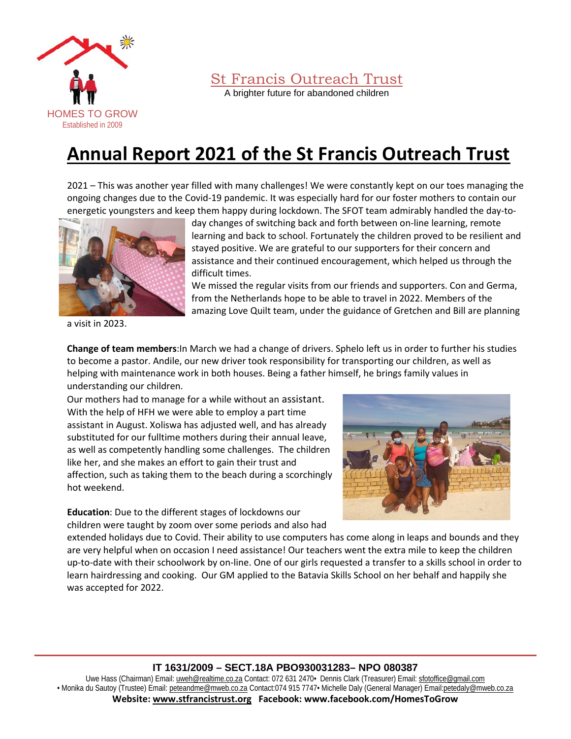

A brighter future for abandoned children

# **Annual Report 2021 of the St Francis Outreach Trust**

2021 – This was another year filled with many challenges! We were constantly kept on our toes managing the ongoing changes due to the Covid-19 pandemic. It was especially hard for our foster mothers to contain our energetic youngsters and keep them happy during lockdown. The SFOT team admirably handled the day-to-



a visit in 2023.

day changes of switching back and forth between on-line learning, remote learning and back to school. Fortunately the children proved to be resilient and stayed positive. We are grateful to our supporters for their concern and assistance and their continued encouragement, which helped us through the difficult times.

We missed the regular visits from our friends and supporters. Con and Germa, from the Netherlands hope to be able to travel in 2022. Members of the amazing Love Quilt team, under the guidance of Gretchen and Bill are planning

**Change of team members**:In March we had a change of drivers. Sphelo left us in order to further his studies to become a pastor. Andile, our new driver took responsibility for transporting our children, as well as helping with maintenance work in both houses. Being a father himself, he brings family values in understanding our children.

Our mothers had to manage for a while without an assistant. With the help of HFH we were able to employ a part time assistant in August. Xoliswa has adjusted well, and has already substituted for our fulltime mothers during their annual leave, as well as competently handling some challenges. The children like her, and she makes an effort to gain their trust and affection, such as taking them to the beach during a scorchingly hot weekend.

**Education**: Due to the different stages of lockdowns our children were taught by zoom over some periods and also had



extended holidays due to Covid. Their ability to use computers has come along in leaps and bounds and they are very helpful when on occasion I need assistance! Our teachers went the extra mile to keep the children up-to-date with their schoolwork by on-line. One of our girls requested a transfer to a skills school in order to learn hairdressing and cooking. Our GM applied to the Batavia Skills School on her behalf and happily she was accepted for 2022.

### **\_\_\_\_\_\_\_\_\_\_\_\_\_\_\_\_\_\_\_\_\_\_\_\_\_\_\_\_\_\_\_\_\_\_\_\_\_\_\_\_\_\_\_\_\_\_\_\_\_\_\_\_\_\_\_\_\_\_\_\_\_\_\_\_\_\_\_\_\_\_\_\_\_\_\_\_\_\_\_\_\_\_\_\_\_\_\_\_ IT 1631/2009 – SECT.18A PBO930031283– NPO 080387**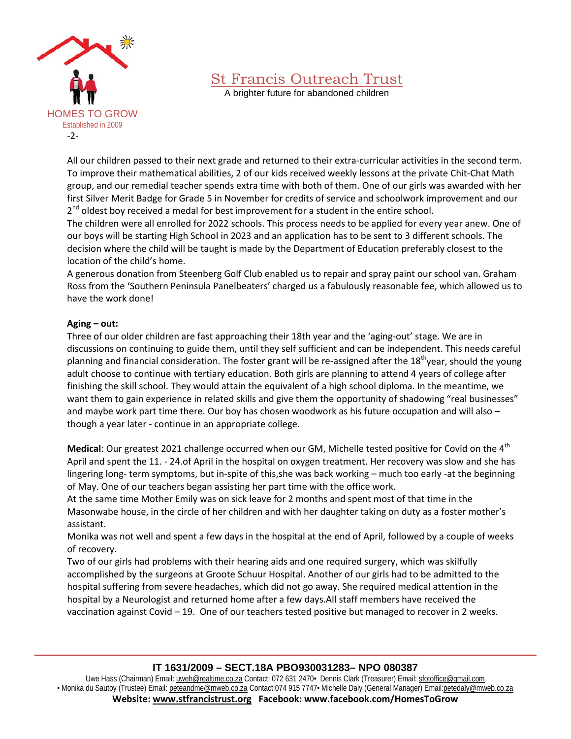

A brighter future for abandoned children

All our children passed to their next grade and returned to their extra-curricular activities in the second term. To improve their mathematical abilities, 2 of our kids received weekly lessons at the private Chit-Chat Math group, and our remedial teacher spends extra time with both of them. One of our girls was awarded with her first Silver Merit Badge for Grade 5 in November for credits of service and schoolwork improvement and our  $2^{nd}$  oldest boy received a medal for best improvement for a student in the entire school.

The children were all enrolled for 2022 schools. This process needs to be applied for every year anew. One of our boys will be starting High School in 2023 and an application has to be sent to 3 different schools. The decision where the child will be taught is made by the Department of Education preferably closest to the location of the child's home.

A generous donation from Steenberg Golf Club enabled us to repair and spray paint our school van. Graham Ross from the 'Southern Peninsula Panelbeaters' charged us a fabulously reasonable fee, which allowed us to have the work done!

#### **Aging – out:**

Three of our older children are fast approaching their 18th year and the 'aging-out' stage. We are in discussions on continuing to guide them, until they self sufficient and can be independent. This needs careful planning and financial consideration. The foster grant will be re-assigned after the 18<sup>th</sup>year, should the young adult choose to continue with tertiary education. Both girls are planning to attend 4 years of college after finishing the skill school. They would attain the equivalent of a high school diploma. In the meantime, we want them to gain experience in related skills and give them the opportunity of shadowing "real businesses" and maybe work part time there. Our boy has chosen woodwork as his future occupation and will also though a year later - continue in an appropriate college.

**Medical:** Our greatest 2021 challenge occurred when our GM, Michelle tested positive for Covid on the 4<sup>th</sup> April and spent the 11. - 24.of April in the hospital on oxygen treatment. Her recovery was slow and she has lingering long- term symptoms, but in-spite of this,she was back working – much too early -at the beginning of May. One of our teachers began assisting her part time with the office work.

At the same time Mother Emily was on sick leave for 2 months and spent most of that time in the Masonwabe house, in the circle of her children and with her daughter taking on duty as a foster mother's assistant.

Monika was not well and spent a few days in the hospital at the end of April, followed by a couple of weeks of recovery.

Two of our girls had problems with their hearing aids and one required surgery, which was skilfully accomplished by the surgeons at Groote Schuur Hospital. Another of our girls had to be admitted to the hospital suffering from severe headaches, which did not go away. She required medical attention in the hospital by a Neurologist and returned home after a few days.All staff members have received the vaccination against Covid – 19. One of our teachers tested positive but managed to recover in 2 weeks.

### **\_\_\_\_\_\_\_\_\_\_\_\_\_\_\_\_\_\_\_\_\_\_\_\_\_\_\_\_\_\_\_\_\_\_\_\_\_\_\_\_\_\_\_\_\_\_\_\_\_\_\_\_\_\_\_\_\_\_\_\_\_\_\_\_\_\_\_\_\_\_\_\_\_\_\_\_\_\_\_\_\_\_\_\_\_\_\_\_ IT 1631/2009 – SECT.18A PBO930031283– NPO 080387**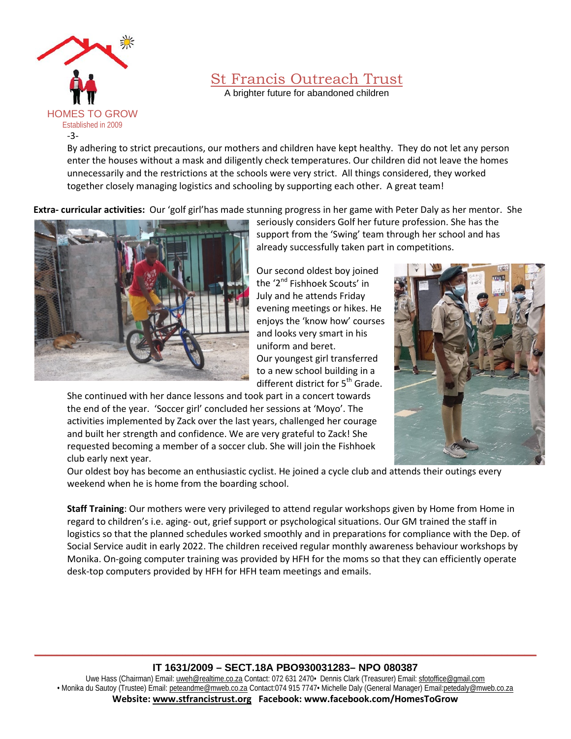

A brighter future for abandoned children

By adhering to strict precautions, our mothers and children have kept healthy. They do not let any person enter the houses without a mask and diligently check temperatures. Our children did not leave the homes unnecessarily and the restrictions at the schools were very strict. All things considered, they worked together closely managing logistics and schooling by supporting each other. A great team!

**Extra- curricular activities:** Our 'golf girl'has made stunning progress in her game with Peter Daly as her mentor. She



seriously considers Golf her future profession. She has the support from the 'Swing' team through her school and has already successfully taken part in competitions.

Our second oldest boy joined the '2<sup>nd</sup> Fishhoek Scouts' in July and he attends Friday evening meetings or hikes. He enjoys the 'know how' courses and looks very smart in his uniform and beret. Our youngest girl transferred to a new school building in a different district for 5<sup>th</sup> Grade.

She continued with her dance lessons and took part in a concert towards the end of the year. 'Soccer girl' concluded her sessions at 'Moyo'. The activities implemented by Zack over the last years, challenged her courage and built her strength and confidence. We are very grateful to Zack! She requested becoming a member of a soccer club. She will join the Fishhoek club early next year.



Our oldest boy has become an enthusiastic cyclist. He joined a cycle club and attends their outings every weekend when he is home from the boarding school.

**Staff Training**: Our mothers were very privileged to attend regular workshops given by Home from Home in regard to children's i.e. aging- out, grief support or psychological situations. Our GM trained the staff in logistics so that the planned schedules worked smoothly and in preparations for compliance with the Dep. of Social Service audit in early 2022. The children received regular monthly awareness behaviour workshops by Monika. On-going computer training was provided by HFH for the moms so that they can efficiently operate desk-top computers provided by HFH for HFH team meetings and emails.

### **\_\_\_\_\_\_\_\_\_\_\_\_\_\_\_\_\_\_\_\_\_\_\_\_\_\_\_\_\_\_\_\_\_\_\_\_\_\_\_\_\_\_\_\_\_\_\_\_\_\_\_\_\_\_\_\_\_\_\_\_\_\_\_\_\_\_\_\_\_\_\_\_\_\_\_\_\_\_\_\_\_\_\_\_\_\_\_\_ IT 1631/2009 – SECT.18A PBO930031283– NPO 080387**